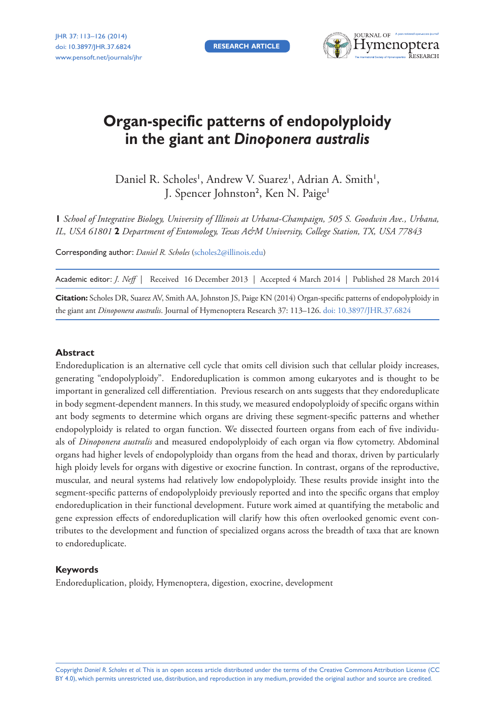**RESEARCH ARTICLE** 



# **Organ-specific patterns of endopolyploidy in the giant ant** *Dinoponera australis*

Daniel R. Scholes<sup>1</sup>, Andrew V. Suarez<sup>1</sup>, Adrian A. Smith<sup>1</sup>, J. Spencer Johnston<sup>2</sup>, Ken N. Paige<sup>1</sup>

**1** *School of Integrative Biology, University of Illinois at Urbana-Champaign, 505 S. Goodwin Ave., Urbana, IL, USA 61801* **2** *Department of Entomology, Texas A&M University, College Station, TX, USA 77843*

Corresponding author: *Daniel R. Scholes* ([scholes2@illinois.edu\)](mailto:scholes2@illinois.edu)

Academic editor: *J. Neff* | Received 16 December 2013 | Accepted 4 March 2014 | Published 28 March 2014

**Citation:** Scholes DR, Suarez AV, Smith AA, Johnston JS, Paige KN (2014) Organ-specific patterns of endopolyploidy in the giant ant *Dinoponera australis*. Journal of Hymenoptera Research 37: 113–126. [doi: 10.3897/JHR.37.6824](http://dx.doi.org/10.3897/JHR.37.6824)

#### **Abstract**

Endoreduplication is an alternative cell cycle that omits cell division such that cellular ploidy increases, generating "endopolyploidy". Endoreduplication is common among eukaryotes and is thought to be important in generalized cell differentiation. Previous research on ants suggests that they endoreduplicate in body segment-dependent manners. In this study, we measured endopolyploidy of specific organs within ant body segments to determine which organs are driving these segment-specific patterns and whether endopolyploidy is related to organ function. We dissected fourteen organs from each of five individuals of *Dinoponera australis* and measured endopolyploidy of each organ via flow cytometry. Abdominal organs had higher levels of endopolyploidy than organs from the head and thorax, driven by particularly high ploidy levels for organs with digestive or exocrine function. In contrast, organs of the reproductive, muscular, and neural systems had relatively low endopolyploidy. These results provide insight into the segment-specific patterns of endopolyploidy previously reported and into the specific organs that employ endoreduplication in their functional development. Future work aimed at quantifying the metabolic and gene expression effects of endoreduplication will clarify how this often overlooked genomic event contributes to the development and function of specialized organs across the breadth of taxa that are known to endoreduplicate.

#### **Keywords**

Endoreduplication, ploidy, Hymenoptera, digestion, exocrine, development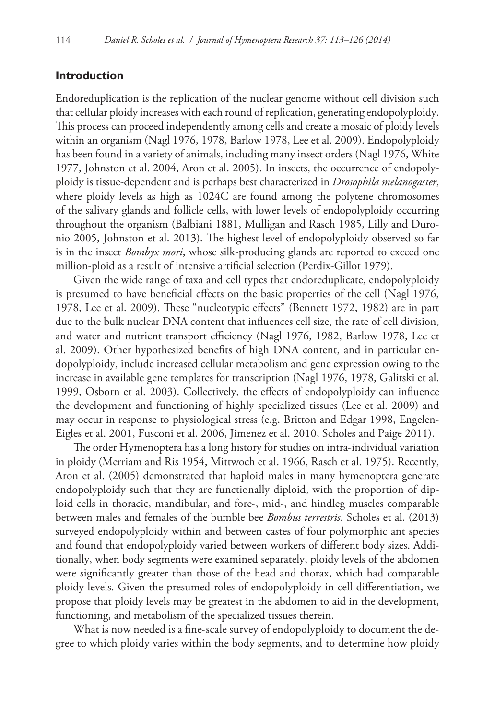## **Introduction**

Endoreduplication is the replication of the nuclear genome without cell division such that cellular ploidy increases with each round of replication, generating endopolyploidy. This process can proceed independently among cells and create a mosaic of ploidy levels within an organism (Nagl 1976, 1978, Barlow 1978, Lee et al. 2009). Endopolyploidy has been found in a variety of animals, including many insect orders (Nagl 1976, White 1977, Johnston et al. 2004, Aron et al. 2005). In insects, the occurrence of endopolyploidy is tissue-dependent and is perhaps best characterized in *Drosophila melanogaster*, where ploidy levels as high as 1024C are found among the polytene chromosomes of the salivary glands and follicle cells, with lower levels of endopolyploidy occurring throughout the organism (Balbiani 1881, Mulligan and Rasch 1985, Lilly and Duronio 2005, Johnston et al. 2013). The highest level of endopolyploidy observed so far is in the insect *Bombyx mori*, whose silk-producing glands are reported to exceed one million-ploid as a result of intensive artificial selection (Perdix-Gillot 1979).

Given the wide range of taxa and cell types that endoreduplicate, endopolyploidy is presumed to have beneficial effects on the basic properties of the cell (Nagl 1976, 1978, Lee et al. 2009). These "nucleotypic effects" (Bennett 1972, 1982) are in part due to the bulk nuclear DNA content that influences cell size, the rate of cell division, and water and nutrient transport efficiency (Nagl 1976, 1982, Barlow 1978, Lee et al. 2009). Other hypothesized benefits of high DNA content, and in particular endopolyploidy, include increased cellular metabolism and gene expression owing to the increase in available gene templates for transcription (Nagl 1976, 1978, Galitski et al. 1999, Osborn et al. 2003). Collectively, the effects of endopolyploidy can influence the development and functioning of highly specialized tissues (Lee et al. 2009) and may occur in response to physiological stress (e.g. Britton and Edgar 1998, Engelen-Eigles et al. 2001, Fusconi et al. 2006, Jimenez et al. 2010, Scholes and Paige 2011).

The order Hymenoptera has a long history for studies on intra-individual variation in ploidy (Merriam and Ris 1954, Mittwoch et al. 1966, Rasch et al. 1975). Recently, Aron et al. (2005) demonstrated that haploid males in many hymenoptera generate endopolyploidy such that they are functionally diploid, with the proportion of diploid cells in thoracic, mandibular, and fore-, mid-, and hindleg muscles comparable between males and females of the bumble bee *Bombus terrestris*. Scholes et al. (2013) surveyed endopolyploidy within and between castes of four polymorphic ant species and found that endopolyploidy varied between workers of different body sizes. Additionally, when body segments were examined separately, ploidy levels of the abdomen were significantly greater than those of the head and thorax, which had comparable ploidy levels. Given the presumed roles of endopolyploidy in cell differentiation, we propose that ploidy levels may be greatest in the abdomen to aid in the development, functioning, and metabolism of the specialized tissues therein.

What is now needed is a fine-scale survey of endopolyploidy to document the degree to which ploidy varies within the body segments, and to determine how ploidy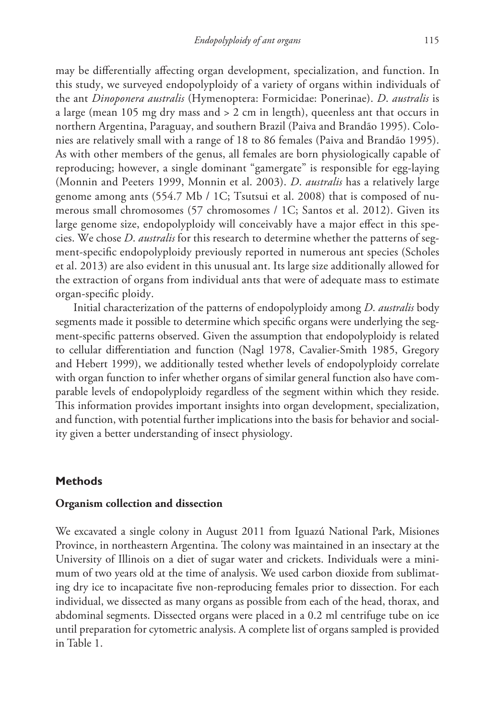may be differentially affecting organ development, specialization, and function. In this study, we surveyed endopolyploidy of a variety of organs within individuals of the ant *Dinoponera australis* (Hymenoptera: Formicidae: Ponerinae). *D*. *australis* is a large (mean 105 mg dry mass and > 2 cm in length), queenless ant that occurs in northern Argentina, Paraguay, and southern Brazil (Paiva and Brandão 1995). Colonies are relatively small with a range of 18 to 86 females (Paiva and Brandão 1995). As with other members of the genus, all females are born physiologically capable of reproducing; however, a single dominant "gamergate" is responsible for egg-laying (Monnin and Peeters 1999, Monnin et al. 2003). *D*. *australis* has a relatively large genome among ants (554.7 Mb / 1C; Tsutsui et al. 2008) that is composed of numerous small chromosomes (57 chromosomes / 1C; Santos et al. 2012). Given its large genome size, endopolyploidy will conceivably have a major effect in this species. We chose *D*. *australis* for this research to determine whether the patterns of segment-specific endopolyploidy previously reported in numerous ant species (Scholes et al. 2013) are also evident in this unusual ant. Its large size additionally allowed for the extraction of organs from individual ants that were of adequate mass to estimate organ-specific ploidy.

Initial characterization of the patterns of endopolyploidy among *D*. *australis* body segments made it possible to determine which specific organs were underlying the segment-specific patterns observed. Given the assumption that endopolyploidy is related to cellular differentiation and function (Nagl 1978, Cavalier-Smith 1985, Gregory and Hebert 1999), we additionally tested whether levels of endopolyploidy correlate with organ function to infer whether organs of similar general function also have comparable levels of endopolyploidy regardless of the segment within which they reside. This information provides important insights into organ development, specialization, and function, with potential further implications into the basis for behavior and sociality given a better understanding of insect physiology.

## **Methods**

#### **Organism collection and dissection**

We excavated a single colony in August 2011 from Iguazú National Park, Misiones Province, in northeastern Argentina. The colony was maintained in an insectary at the University of Illinois on a diet of sugar water and crickets. Individuals were a minimum of two years old at the time of analysis. We used carbon dioxide from sublimating dry ice to incapacitate five non-reproducing females prior to dissection. For each individual, we dissected as many organs as possible from each of the head, thorax, and abdominal segments. Dissected organs were placed in a 0.2 ml centrifuge tube on ice until preparation for cytometric analysis. A complete list of organs sampled is provided in Table 1.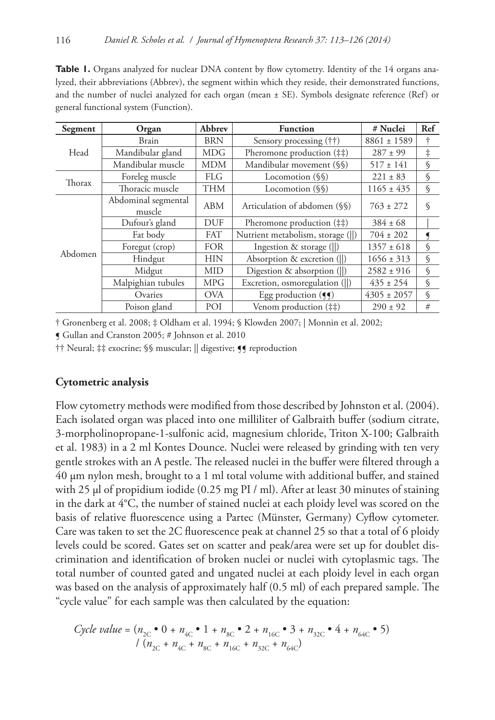**Table 1.** Organs analyzed for nuclear DNA content by flow cytometry. Identity of the 14 organs analyzed, their abbreviations (Abbrev), the segment within which they reside, their demonstrated functions, and the number of nuclei analyzed for each organ (mean ± SE). Symbols designate reference (Ref) or general functional system (Function).

| Segment | Organ                         | Abbrev     | <b>Function</b>                   | # Nuclei        | Ref           |
|---------|-------------------------------|------------|-----------------------------------|-----------------|---------------|
| Head    | Brain                         | <b>BRN</b> | Sensory processing (††)           | $8861 \pm 1589$ | ÷             |
|         | Mandibular gland              | <b>MDG</b> | Pheromone production (##)         | $287 \pm 99$    | $\ddagger$    |
|         | Mandibular muscle             | <b>MDM</b> | Mandibular movement (§§)          | $517 \pm 141$   | S             |
| Thorax  | Foreleg muscle                | <b>FLG</b> | Locomotion (\\iness)              | $221 \pm 83$    | S             |
|         | Thoracic muscle               | <b>THM</b> | Locomotion (§§)                   | $1165 \pm 435$  | $\varsigma$   |
| Abdomen | Abdominal segmental<br>muscle | ABM        | Articulation of abdomen (§§)      | $763 \pm 272$   | $\varsigma$   |
|         | Dufour's gland                | <b>DUF</b> | Pheromone production (##)         | $384 \pm 68$    |               |
|         | Fat body                      | <b>FAT</b> | Nutrient metabolism, storage (  ) | $704 \pm 202$   | ◀             |
|         | Foregut (crop)                | <b>FOR</b> | Ingestion & storage $(  )$        | $1357 \pm 618$  | $\varsigma$   |
|         | Hindgut                       | <b>HIN</b> | Absorption & excretion (  )       | $1656 \pm 313$  | S             |
|         | Midgut                        | <b>MID</b> | Digestion & absorption (  )       | $2582 \pm 916$  | $\varsigma$   |
|         | Malpighian tubules            | <b>MPG</b> | Excretion, osmoregulation (  )    | $435 \pm 254$   | $\mathcal{S}$ |
|         | Ovaries                       | <b>OVA</b> | Egg production $( \P \P )$        | $4305 \pm 2057$ | S             |
|         | Poison gland                  | POI        | Venom production (##)             | $290 \pm 92$    | #             |

† Gronenberg et al. 2008; ‡ Oldham et al. 1994; § Klowden 2007; | Monnin et al. 2002;

¶ Gullan and Cranston 2005; # Johnson et al. 2010

†† Neural; ‡‡ exocrine; §§ muscular; || digestive; ¶¶ reproduction

#### **Cytometric analysis**

Flow cytometry methods were modified from those described by Johnston et al. (2004). Each isolated organ was placed into one milliliter of Galbraith buffer (sodium citrate, 3-morpholinopropane-1-sulfonic acid, magnesium chloride, Triton X-100; Galbraith et al. 1983) in a 2 ml Kontes Dounce. Nuclei were released by grinding with ten very gentle strokes with an A pestle. The released nuclei in the buffer were filtered through a 40 μm nylon mesh, brought to a 1 ml total volume with additional buffer, and stained with 25 μl of propidium iodide (0.25 mg PI / ml). After at least 30 minutes of staining in the dark at 4°C, the number of stained nuclei at each ploidy level was scored on the basis of relative fluorescence using a Partec (Münster, Germany) Cyflow cytometer. Care was taken to set the 2C fluorescence peak at channel 25 so that a total of 6 ploidy levels could be scored. Gates set on scatter and peak/area were set up for doublet discrimination and identification of broken nuclei or nuclei with cytoplasmic tags. The total number of counted gated and ungated nuclei at each ploidy level in each organ was based on the analysis of approximately half (0.5 ml) of each prepared sample. The "cycle value" for each sample was then calculated by the equation:

$$
Cycle\ value = (n_{2C} \cdot 0 + n_{4C} \cdot 1 + n_{8C} \cdot 2 + n_{16C} \cdot 3 + n_{32C} \cdot 4 + n_{64C} \cdot 5)
$$
  
\n
$$
/(n_{2C} + n_{4C} + n_{8C} + n_{16C} + n_{32C} + n_{64C})
$$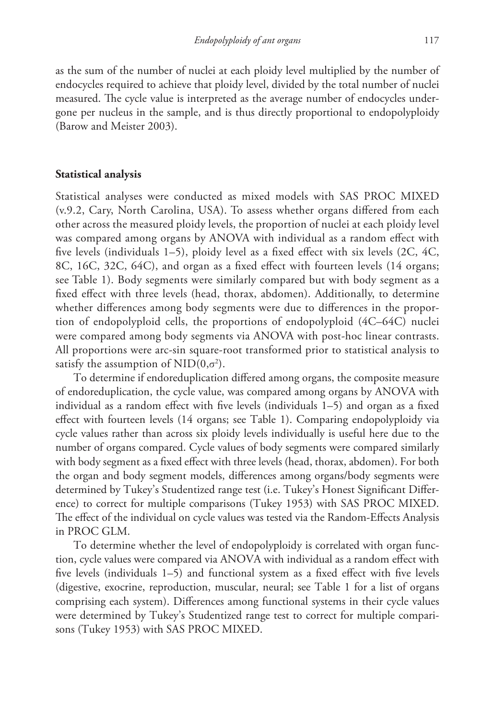as the sum of the number of nuclei at each ploidy level multiplied by the number of endocycles required to achieve that ploidy level, divided by the total number of nuclei measured. The cycle value is interpreted as the average number of endocycles undergone per nucleus in the sample, and is thus directly proportional to endopolyploidy (Barow and Meister 2003).

## **Statistical analysis**

Statistical analyses were conducted as mixed models with SAS PROC MIXED (v.9.2, Cary, North Carolina, USA). To assess whether organs differed from each other across the measured ploidy levels, the proportion of nuclei at each ploidy level was compared among organs by ANOVA with individual as a random effect with five levels (individuals 1–5), ploidy level as a fixed effect with six levels (2C, 4C, 8C, 16C, 32C, 64C), and organ as a fixed effect with fourteen levels (14 organs; see Table 1). Body segments were similarly compared but with body segment as a fixed effect with three levels (head, thorax, abdomen). Additionally, to determine whether differences among body segments were due to differences in the proportion of endopolyploid cells, the proportions of endopolyploid (4C–64C) nuclei were compared among body segments via ANOVA with post-hoc linear contrasts. All proportions were arc-sin square-root transformed prior to statistical analysis to satisfy the assumption of  $\text{NID}(0, \sigma^2)$ .

To determine if endoreduplication differed among organs, the composite measure of endoreduplication, the cycle value, was compared among organs by ANOVA with individual as a random effect with five levels (individuals 1–5) and organ as a fixed effect with fourteen levels (14 organs; see Table 1). Comparing endopolyploidy via cycle values rather than across six ploidy levels individually is useful here due to the number of organs compared. Cycle values of body segments were compared similarly with body segment as a fixed effect with three levels (head, thorax, abdomen). For both the organ and body segment models, differences among organs/body segments were determined by Tukey's Studentized range test (i.e. Tukey's Honest Significant Difference) to correct for multiple comparisons (Tukey 1953) with SAS PROC MIXED. The effect of the individual on cycle values was tested via the Random-Effects Analysis in PROC GLM.

To determine whether the level of endopolyploidy is correlated with organ function, cycle values were compared via ANOVA with individual as a random effect with five levels (individuals 1–5) and functional system as a fixed effect with five levels (digestive, exocrine, reproduction, muscular, neural; see Table 1 for a list of organs comprising each system). Differences among functional systems in their cycle values were determined by Tukey's Studentized range test to correct for multiple comparisons (Tukey 1953) with SAS PROC MIXED.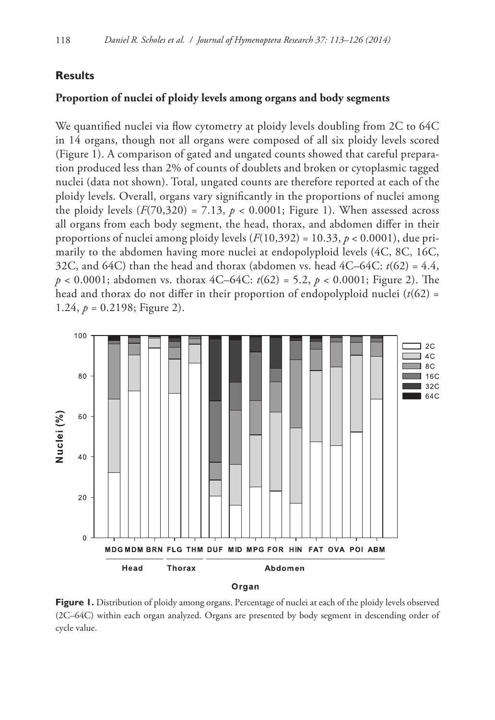## **Results**

# **Proportion of nuclei of ploidy levels among organs and body segments**

We quantified nuclei via flow cytometry at ploidy levels doubling from 2C to 64C in 14 organs, though not all organs were composed of all six ploidy levels scored (Figure 1). A comparison of gated and ungated counts showed that careful preparation produced less than 2% of counts of doublets and broken or cytoplasmic tagged nuclei (data not shown). Total, ungated counts are therefore reported at each of the ploidy levels. Overall, organs vary significantly in the proportions of nuclei among the ploidy levels  $(F(70,320) = 7.13, p < 0.0001$ ; Figure 1). When assessed across all organs from each body segment, the head, thorax, and abdomen differ in their proportions of nuclei among ploidy levels  $(F(10,392) = 10.33, p < 0.0001)$ , due primarily to the abdomen having more nuclei at endopolyploid levels (4C, 8C, 16C, 32C, and 64C) than the head and thorax (abdomen vs. head  $4C-64C$ :  $t(62) = 4.4$ , *p* < 0.0001; abdomen vs. thorax 4C–64C: *t*(62) = 5.2, *p* < 0.0001; Figure 2). The head and thorax do not differ in their proportion of endopolyploid nuclei  $(t(62) =$ 1.24,  $p = 0.2198$ ; Figure 2).



Figure 1. Distribution of ploidy among organs. Percentage of nuclei at each of the ploidy levels observed (2C–64C) within each organ analyzed. Organs are presented by body segment in descending order of cycle value.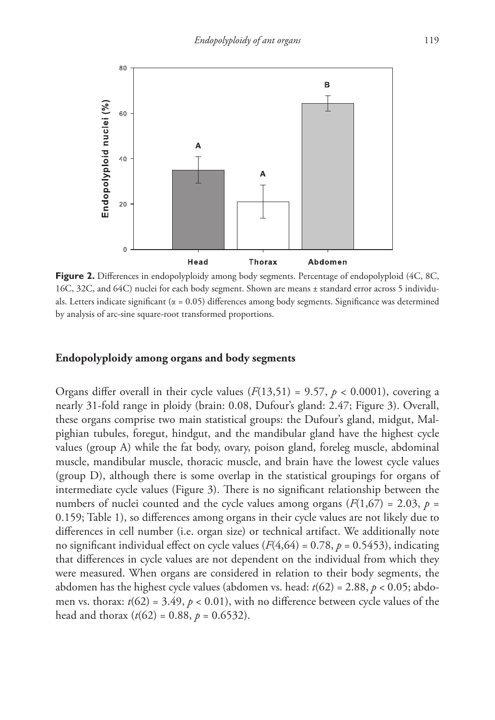

**Figure 2.** Differences in endopolyploidy among body segments. Percentage of endopolyploid (4C, 8C, 16C, 32C, and 64C) nuclei for each body segment. Shown are means ± standard error across 5 individuals. Letters indicate significant ( $\alpha = 0.05$ ) differences among body segments. Significance was determined by analysis of arc-sine square-root transformed proportions.

#### **Endopolyploidy among organs and body segments**

Organs differ overall in their cycle values  $(F(13,51) = 9.57, p < 0.0001)$ , covering a nearly 31-fold range in ploidy (brain: 0.08, Dufour's gland: 2.47; Figure 3). Overall, these organs comprise two main statistical groups: the Dufour's gland, midgut, Malpighian tubules, foregut, hindgut, and the mandibular gland have the highest cycle values (group A) while the fat body, ovary, poison gland, foreleg muscle, abdominal muscle, mandibular muscle, thoracic muscle, and brain have the lowest cycle values (group D), although there is some overlap in the statistical groupings for organs of intermediate cycle values (Figure 3). There is no significant relationship between the numbers of nuclei counted and the cycle values among organs ( $F(1,67) = 2.03$ ,  $p =$ 0.159; Table 1), so differences among organs in their cycle values are not likely due to differences in cell number (i.e. organ size) or technical artifact. We additionally note no significant individual effect on cycle values  $(F(4,64) = 0.78, p = 0.5453)$ , indicating that differences in cycle values are not dependent on the individual from which they were measured. When organs are considered in relation to their body segments, the abdomen has the highest cycle values (abdomen vs. head: *t*(62) = 2.88, *p* < 0.05; abdomen vs. thorax:  $t(62) = 3.49$ ,  $p < 0.01$ ), with no difference between cycle values of the head and thorax  $(t(62) = 0.88, p = 0.6532)$ .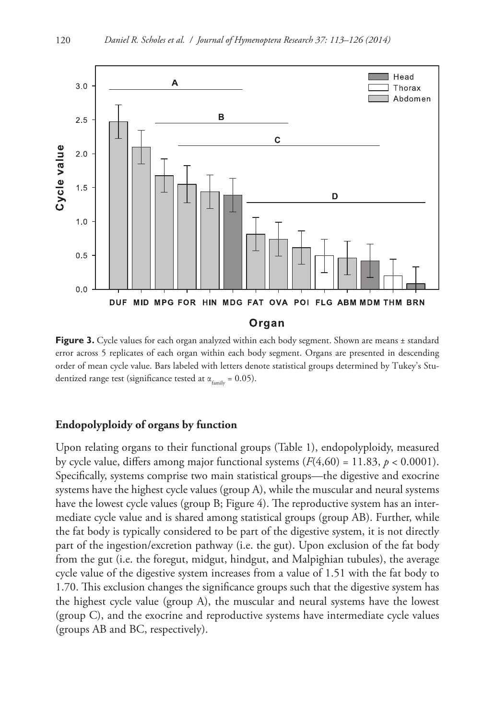

Figure 3. Cycle values for each organ analyzed within each body segment. Shown are means ± standard error across 5 replicates of each organ within each body segment. Organs are presented in descending order of mean cycle value. Bars labeled with letters denote statistical groups determined by Tukey's Studentized range test (significance tested at  $\alpha_{\text{family}} = 0.05$ ).

## **Endopolyploidy of organs by function**

Upon relating organs to their functional groups (Table 1), endopolyploidy, measured by cycle value, differs among major functional systems  $(F(4,60) = 11.83, p < 0.0001)$ . Specifically, systems comprise two main statistical groups—the digestive and exocrine systems have the highest cycle values (group A), while the muscular and neural systems have the lowest cycle values (group B; Figure 4). The reproductive system has an intermediate cycle value and is shared among statistical groups (group AB). Further, while the fat body is typically considered to be part of the digestive system, it is not directly part of the ingestion/excretion pathway (i.e. the gut). Upon exclusion of the fat body from the gut (i.e. the foregut, midgut, hindgut, and Malpighian tubules), the average cycle value of the digestive system increases from a value of 1.51 with the fat body to 1.70. This exclusion changes the significance groups such that the digestive system has the highest cycle value (group A), the muscular and neural systems have the lowest (group C), and the exocrine and reproductive systems have intermediate cycle values (groups AB and BC, respectively).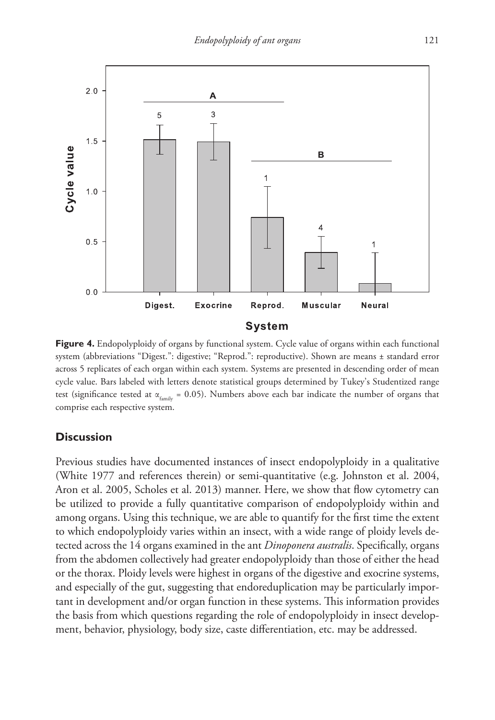

**Figure 4.** Endopolyploidy of organs by functional system. Cycle value of organs within each functional system (abbreviations "Digest.": digestive; "Reprod.": reproductive). Shown are means ± standard error across 5 replicates of each organ within each system. Systems are presented in descending order of mean cycle value. Bars labeled with letters denote statistical groups determined by Tukey's Studentized range test (significance tested at  $\alpha_{f_{\text{trivial}}} = 0.05$ ). Numbers above each bar indicate the number of organs that comprise each respective system.

# **Discussion**

Previous studies have documented instances of insect endopolyploidy in a qualitative (White 1977 and references therein) or semi-quantitative (e.g. Johnston et al. 2004, Aron et al. 2005, Scholes et al. 2013) manner. Here, we show that flow cytometry can be utilized to provide a fully quantitative comparison of endopolyploidy within and among organs. Using this technique, we are able to quantify for the first time the extent to which endopolyploidy varies within an insect, with a wide range of ploidy levels detected across the 14 organs examined in the ant *Dinoponera australis*. Specifically, organs from the abdomen collectively had greater endopolyploidy than those of either the head or the thorax. Ploidy levels were highest in organs of the digestive and exocrine systems, and especially of the gut, suggesting that endoreduplication may be particularly important in development and/or organ function in these systems. This information provides the basis from which questions regarding the role of endopolyploidy in insect development, behavior, physiology, body size, caste differentiation, etc. may be addressed.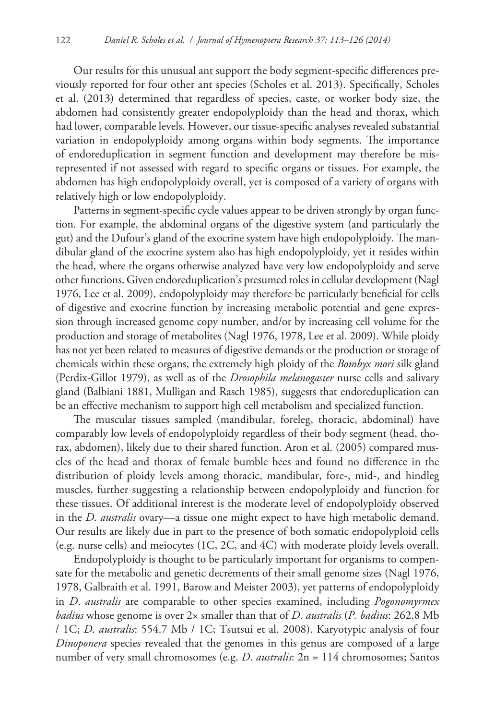Our results for this unusual ant support the body segment-specific differences previously reported for four other ant species (Scholes et al. 2013). Specifically, Scholes et al. (2013) determined that regardless of species, caste, or worker body size, the abdomen had consistently greater endopolyploidy than the head and thorax, which had lower, comparable levels. However, our tissue-specific analyses revealed substantial variation in endopolyploidy among organs within body segments. The importance of endoreduplication in segment function and development may therefore be misrepresented if not assessed with regard to specific organs or tissues. For example, the abdomen has high endopolyploidy overall, yet is composed of a variety of organs with relatively high or low endopolyploidy.

Patterns in segment-specific cycle values appear to be driven strongly by organ function. For example, the abdominal organs of the digestive system (and particularly the gut) and the Dufour's gland of the exocrine system have high endopolyploidy. The mandibular gland of the exocrine system also has high endopolyploidy, yet it resides within the head, where the organs otherwise analyzed have very low endopolyploidy and serve other functions. Given endoreduplication's presumed roles in cellular development (Nagl 1976, Lee et al. 2009), endopolyploidy may therefore be particularly beneficial for cells of digestive and exocrine function by increasing metabolic potential and gene expression through increased genome copy number, and/or by increasing cell volume for the production and storage of metabolites (Nagl 1976, 1978, Lee et al. 2009). While ploidy has not yet been related to measures of digestive demands or the production or storage of chemicals within these organs, the extremely high ploidy of the *Bombyx mori* silk gland (Perdix-Gillot 1979), as well as of the *Drosophila melanogaster* nurse cells and salivary gland (Balbiani 1881, Mulligan and Rasch 1985), suggests that endoreduplication can be an effective mechanism to support high cell metabolism and specialized function.

The muscular tissues sampled (mandibular, foreleg, thoracic, abdominal) have comparably low levels of endopolyploidy regardless of their body segment (head, thorax, abdomen), likely due to their shared function. Aron et al. (2005) compared muscles of the head and thorax of female bumble bees and found no difference in the distribution of ploidy levels among thoracic, mandibular, fore-, mid-, and hindleg muscles, further suggesting a relationship between endopolyploidy and function for these tissues. Of additional interest is the moderate level of endopolyploidy observed in the *D*. *australis* ovary—a tissue one might expect to have high metabolic demand. Our results are likely due in part to the presence of both somatic endopolyploid cells (e.g. nurse cells) and meiocytes (1C, 2C, and 4C) with moderate ploidy levels overall.

Endopolyploidy is thought to be particularly important for organisms to compensate for the metabolic and genetic decrements of their small genome sizes (Nagl 1976, 1978, Galbraith et al. 1991, Barow and Meister 2003), yet patterns of endopolyploidy in *D*. *australis* are comparable to other species examined, including *Pogonomyrmex badius* whose genome is over 2× smaller than that of *D*. *australis* (*P. badius*: 262.8 Mb / 1C; *D*. *australis*: 554.7 Mb / 1C; Tsutsui et al. 2008). Karyotypic analysis of four *Dinoponera* species revealed that the genomes in this genus are composed of a large number of very small chromosomes (e.g. *D*. *australis*: 2n = 114 chromosomes; Santos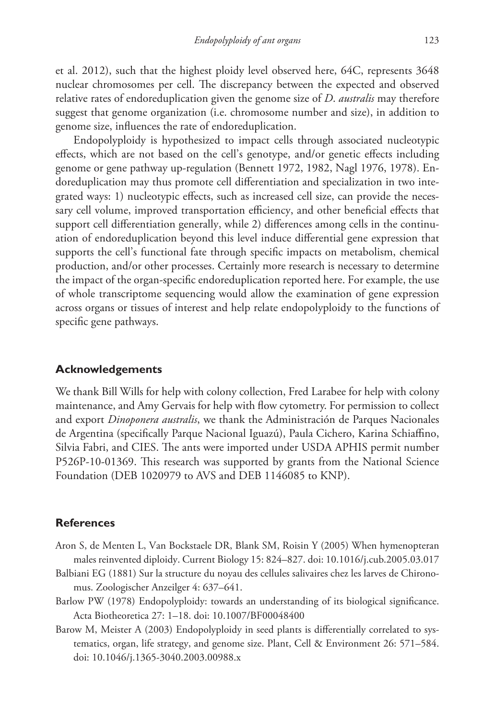et al. 2012), such that the highest ploidy level observed here, 64C, represents 3648 nuclear chromosomes per cell. The discrepancy between the expected and observed relative rates of endoreduplication given the genome size of *D*. *australis* may therefore suggest that genome organization (i.e. chromosome number and size), in addition to genome size, influences the rate of endoreduplication.

Endopolyploidy is hypothesized to impact cells through associated nucleotypic effects, which are not based on the cell's genotype, and/or genetic effects including genome or gene pathway up-regulation (Bennett 1972, 1982, Nagl 1976, 1978). Endoreduplication may thus promote cell differentiation and specialization in two integrated ways: 1) nucleotypic effects, such as increased cell size, can provide the necessary cell volume, improved transportation efficiency, and other beneficial effects that support cell differentiation generally, while 2) differences among cells in the continuation of endoreduplication beyond this level induce differential gene expression that supports the cell's functional fate through specific impacts on metabolism, chemical production, and/or other processes. Certainly more research is necessary to determine the impact of the organ-specific endoreduplication reported here. For example, the use of whole transcriptome sequencing would allow the examination of gene expression across organs or tissues of interest and help relate endopolyploidy to the functions of specific gene pathways.

## **Acknowledgements**

We thank Bill Wills for help with colony collection, Fred Larabee for help with colony maintenance, and Amy Gervais for help with flow cytometry. For permission to collect and export *Dinoponera australis*, we thank the Administración de Parques Nacionales de Argentina (specifically Parque Nacional Iguazú), Paula Cichero, Karina Schiaffino, Silvia Fabri, and CIES. The ants were imported under USDA APHIS permit number P526P-10-01369. This research was supported by grants from the National Science Foundation (DEB 1020979 to AVS and DEB 1146085 to KNP).

## **References**

- Aron S, de Menten L, Van Bockstaele DR, Blank SM, Roisin Y (2005) When hymenopteran males reinvented diploidy. Current Biology 15: 824–827. [doi: 10.1016/j.cub.2005.03.017](http://dx.doi.org/10.1016/j.cub.2005.03.017)
- Balbiani EG (1881) Sur la structure du noyau des cellules salivaires chez les larves de Chironomus. Zoologischer Anzeilger 4: 637–641.
- Barlow PW (1978) Endopolyploidy: towards an understanding of its biological significance. Acta Biotheoretica 27: 1–18. [doi: 10.1007/BF00048400](http://dx.doi.org/10.1007/BF00048400)
- Barow M, Meister A (2003) Endopolyploidy in seed plants is differentially correlated to systematics, organ, life strategy, and genome size. Plant, Cell & Environment 26: 571–584. [doi: 10.1046/j.1365-3040.2003.00988.x](http://dx.doi.org/10.1046/j.1365-3040.2003.00988.x)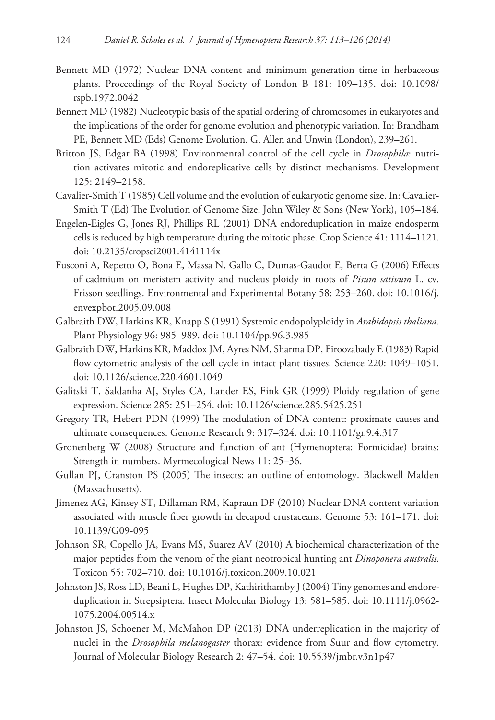- Bennett MD (1972) Nuclear DNA content and minimum generation time in herbaceous plants. Proceedings of the Royal Society of London B 181: 109–135. [doi: 10.1098/](http://dx.doi.org/10.1098/rspb.1972.0042) [rspb.1972.0042](http://dx.doi.org/10.1098/rspb.1972.0042)
- Bennett MD (1982) Nucleotypic basis of the spatial ordering of chromosomes in eukaryotes and the implications of the order for genome evolution and phenotypic variation. In: Brandham PE, Bennett MD (Eds) Genome Evolution. G. Allen and Unwin (London), 239–261.
- Britton JS, Edgar BA (1998) Environmental control of the cell cycle in *Drosophila*: nutrition activates mitotic and endoreplicative cells by distinct mechanisms. Development 125: 2149–2158.
- Cavalier-Smith T (1985) Cell volume and the evolution of eukaryotic genome size. In: Cavalier-Smith T (Ed) The Evolution of Genome Size. John Wiley & Sons (New York), 105–184.
- Engelen-Eigles G, Jones RJ, Phillips RL (2001) DNA endoreduplication in maize endosperm cells is reduced by high temperature during the mitotic phase. Crop Science 41: 1114–1121. [doi: 10.2135/cropsci2001.4141114x](http://dx.doi.org/10.2135/cropsci2001.4141114x)
- Fusconi A, Repetto O, Bona E, Massa N, Gallo C, Dumas-Gaudot E, Berta G (2006) Effects of cadmium on meristem activity and nucleus ploidy in roots of *Pisum sativum* L. cv. Frisson seedlings. Environmental and Experimental Botany 58: 253–260. [doi: 10.1016/j.](http://dx.doi.org/10.1016/j.envexpbot.2005.09.008) [envexpbot.2005.09.008](http://dx.doi.org/10.1016/j.envexpbot.2005.09.008)
- Galbraith DW, Harkins KR, Knapp S (1991) Systemic endopolyploidy in *Arabidopsis thaliana*. Plant Physiology 96: 985–989. [doi: 10.1104/pp.96.3.985](http://dx.doi.org/10.1104/pp.96.3.985)
- Galbraith DW, Harkins KR, Maddox JM, Ayres NM, Sharma DP, Firoozabady E (1983) Rapid flow cytometric analysis of the cell cycle in intact plant tissues. Science 220: 1049–1051. [doi: 10.1126/science.220.4601.1049](http://dx.doi.org/10.1126/science.220.4601.1049)
- Galitski T, Saldanha AJ, Styles CA, Lander ES, Fink GR (1999) Ploidy regulation of gene expression. Science 285: 251–254. [doi: 10.1126/science.285.5425.251](http://dx.doi.org/10.1126/science.285.5425.251)
- Gregory TR, Hebert PDN (1999) The modulation of DNA content: proximate causes and ultimate consequences. Genome Research 9: 317–324. [doi: 10.1101/gr.9.4.317](http://dx.doi.org/10.1101/gr.9.4.317)
- Gronenberg W (2008) Structure and function of ant (Hymenoptera: Formicidae) brains: Strength in numbers. Myrmecological News 11: 25–36.
- Gullan PJ, Cranston PS (2005) The insects: an outline of entomology. Blackwell Malden (Massachusetts).
- Jimenez AG, Kinsey ST, Dillaman RM, Kapraun DF (2010) Nuclear DNA content variation associated with muscle fiber growth in decapod crustaceans. Genome 53: 161–171. [doi:](http://dx.doi.org/10.1139/G09-095) [10.1139/G09-095](http://dx.doi.org/10.1139/G09-095)
- Johnson SR, Copello JA, Evans MS, Suarez AV (2010) A biochemical characterization of the major peptides from the venom of the giant neotropical hunting ant *Dinoponera australis*. Toxicon 55: 702–710. [doi: 10.1016/j.toxicon.2009.10.021](http://dx.doi.org/10.1016/j.toxicon.2009.10.021)
- Johnston JS, Ross LD, Beani L, Hughes DP, Kathirithamby J (2004) Tiny genomes and endoreduplication in Strepsiptera. Insect Molecular Biology 13: 581–585. [doi: 10.1111/j.0962-](http://dx.doi.org/10.1111/j.0962-1075.2004.00514.x) [1075.2004.00514.x](http://dx.doi.org/10.1111/j.0962-1075.2004.00514.x)
- Johnston JS, Schoener M, McMahon DP (2013) DNA underreplication in the majority of nuclei in the *Drosophila melanogaster* thorax: evidence from Suur and flow cytometry. Journal of Molecular Biology Research 2: 47–54. [doi: 10.5539/jmbr.v3n1p47](http://dx.doi.org/10.5539/jmbr.v3n1p47)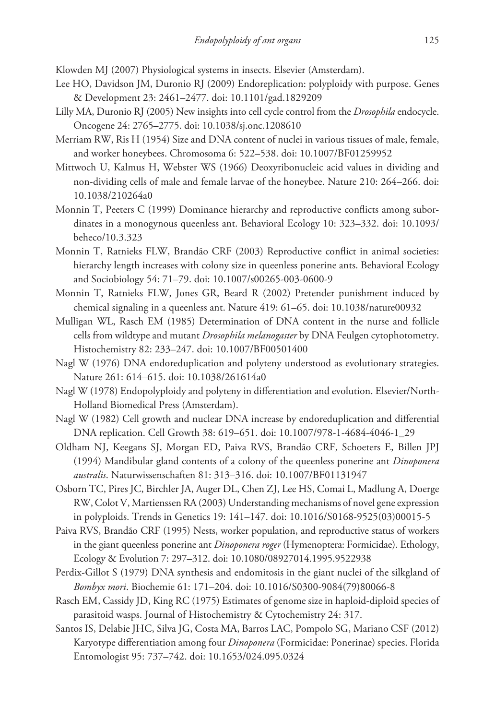Klowden MJ (2007) Physiological systems in insects. Elsevier (Amsterdam).

- Lee HO, Davidson JM, Duronio RJ (2009) Endoreplication: polyploidy with purpose. Genes & Development 23: 2461–2477. [doi: 10.1101/gad.1829209](http://dx.doi.org/10.1101/gad.1829209)
- Lilly MA, Duronio RJ (2005) New insights into cell cycle control from the *Drosophila* endocycle. Oncogene 24: 2765–2775. [doi: 10.1038/sj.onc.1208610](http://dx.doi.org/10.1038/sj.onc.1208610)
- Merriam RW, Ris H (1954) Size and DNA content of nuclei in various tissues of male, female, and worker honeybees. Chromosoma 6: 522–538. [doi: 10.1007/BF01259952](http://dx.doi.org/10.1007/BF01259952)
- Mittwoch U, Kalmus H, Webster WS (1966) Deoxyribonucleic acid values in dividing and non-dividing cells of male and female larvae of the honeybee. Nature 210: 264–266. [doi:](http://dx.doi.org/10.1038/210264a0) [10.1038/210264a0](http://dx.doi.org/10.1038/210264a0)
- Monnin T, Peeters C (1999) Dominance hierarchy and reproductive conflicts among subordinates in a monogynous queenless ant. Behavioral Ecology 10: 323–332. [doi: 10.1093/](http://dx.doi.org/10.1093/beheco/10.3.323) [beheco/10.3.323](http://dx.doi.org/10.1093/beheco/10.3.323)
- Monnin T, Ratnieks FLW, Brandão CRF (2003) Reproductive conflict in animal societies: hierarchy length increases with colony size in queenless ponerine ants. Behavioral Ecology and Sociobiology 54: 71–79. [doi: 10.1007/s00265-003-0600-9](http://dx.doi.org/10.1007/s00265-003-0600-9)
- Monnin T, Ratnieks FLW, Jones GR, Beard R (2002) Pretender punishment induced by chemical signaling in a queenless ant. Nature 419: 61–65. [doi: 10.1038/nature00932](http://dx.doi.org/10.1038/nature00932)
- Mulligan WL, Rasch EM (1985) Determination of DNA content in the nurse and follicle cells from wildtype and mutant *Drosophila melanogaster* by DNA Feulgen cytophotometry. Histochemistry 82: 233–247. [doi: 10.1007/BF00501400](http://dx.doi.org/10.1007/BF00501400)
- Nagl W (1976) DNA endoreduplication and polyteny understood as evolutionary strategies. Nature 261: 614–615. [doi: 10.1038/261614a0](http://dx.doi.org/10.1038/261614a0)
- Nagl W (1978) Endopolyploidy and polyteny in differentiation and evolution. Elsevier/North-Holland Biomedical Press (Amsterdam).
- Nagl W (1982) Cell growth and nuclear DNA increase by endoreduplication and differential DNA replication. Cell Growth 38: 619–651. [doi: 10.1007/978-1-4684-4046-1\\_29](http://dx.doi.org/10.1007/978-1-4684-4046-1_29)
- Oldham NJ, Keegans SJ, Morgan ED, Paiva RVS, Brandão CRF, Schoeters E, Billen JPJ (1994) Mandibular gland contents of a colony of the queenless ponerine ant *Dinoponera australis*. Naturwissenschaften 81: 313–316. [doi: 10.1007/BF01131947](http://dx.doi.org/10.1007/BF01131947)
- Osborn TC, Pires JC, Birchler JA, Auger DL, Chen ZJ, Lee HS, Comai L, Madlung A, Doerge RW, Colot V, Martienssen RA (2003) Understanding mechanisms of novel gene expression in polyploids. Trends in Genetics 19: 141–147. [doi: 10.1016/S0168-9525\(03\)00015-5](http://dx.doi.org/10.1016/S0168-9525(03)00015-5)
- Paiva RVS, Brandão CRF (1995) Nests, worker population, and reproductive status of workers in the giant queenless ponerine ant *Dinoponera roger* (Hymenoptera: Formicidae). Ethology, Ecology & Evolution 7: 297–312. [doi: 10.1080/08927014.1995.9522938](http://dx.doi.org/10.1080/08927014.1995.9522938)
- Perdix-Gillot S (1979) DNA synthesis and endomitosis in the giant nuclei of the silkgland of *Bombyx mori*. Biochemie 61: 171–204. [doi: 10.1016/S0300-9084\(79\)80066-8](http://dx.doi.org/10.1016/S0300-9084(79)80066-8)
- Rasch EM, Cassidy JD, King RC (1975) Estimates of genome size in haploid-diploid species of parasitoid wasps. Journal of Histochemistry & Cytochemistry 24: 317.
- Santos IS, Delabie JHC, Silva JG, Costa MA, Barros LAC, Pompolo SG, Mariano CSF (2012) Karyotype differentiation among four *Dinoponera* (Formicidae: Ponerinae) species. Florida Entomologist 95: 737–742. [doi: 10.1653/024.095.0324](http://dx.doi.org/10.1653/024.095.0324)